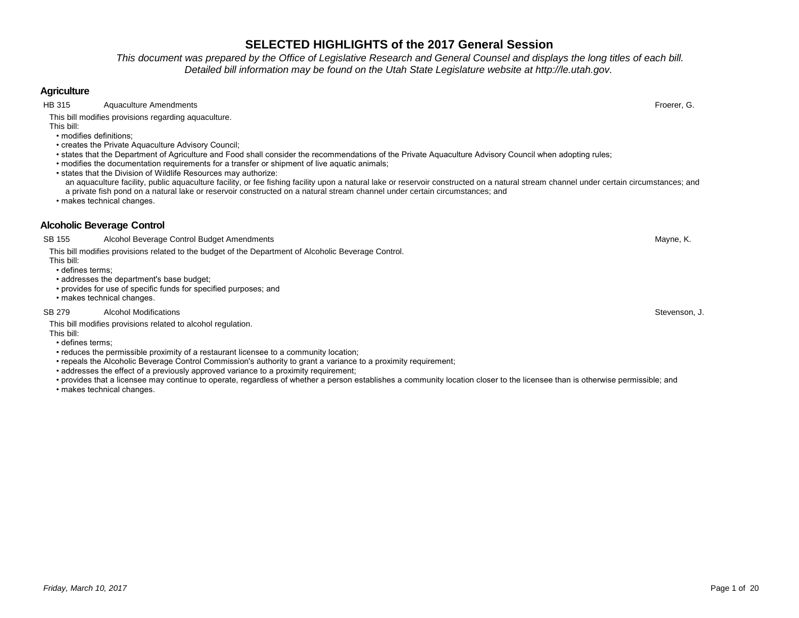*This document was prepared by the Office of Legislative Research and General Counsel and displays the long titles of each bill. Detailed bill information may be found on the Utah State Legislature website at http://le.utah.gov.* 

## **Agriculture**

HB 315 Aquaculture Amendments Froerer, G.

This bill modifies provisions regarding aquaculture.

This bill: • modifies definitions;

- creates the Private Aquaculture Advisory Council;
- states that the Department of Agriculture and Food shall consider the recommendations of the Private Aquaculture Advisory Council when adopting rules;
- modifies the documentation requirements for a transfer or shipment of live aquatic animals;
- states that the Division of Wildlife Resources may authorize:
- an aquaculture facility, public aquaculture facility, or fee fishing facility upon a natural lake or reservoir constructed on a natural stream channel under certain circumstances; and a private fish pond on a natural lake or reservoir constructed on a natural stream channel under certain circumstances; and

• makes technical changes.

## **Alcoholic Beverage Control**

SB 155 Alcohol Beverage Control Budget Amendments Alcohol Budget Amendments American American School Beverage Control Budget Amendments American Mayne, K.

This bill modifies provisions related to the budget of the Department of Alcoholic Beverage Control.

This bill: • defines terms;

- addresses the department's base budget;
- provides for use of specific funds for specified purposes; and
- makes technical changes.

### SB 279 Alcohol Modifications **Stevenson, J. Stevenson, J. Stevenson, J. Stevenson**, J. Stevenson, J. Stevenson, J

This bill modifies provisions related to alcohol regulation.

- This bill: • defines terms;
- reduces the permissible proximity of a restaurant licensee to a community location;
- repeals the Alcoholic Beverage Control Commission's authority to grant a variance to a proximity requirement;
- addresses the effect of a previously approved variance to a proximity requirement;
- provides that a licensee may continue to operate, regardless of whether a person establishes a community location closer to the licensee than is otherwise permissible; and
- makes technical changes.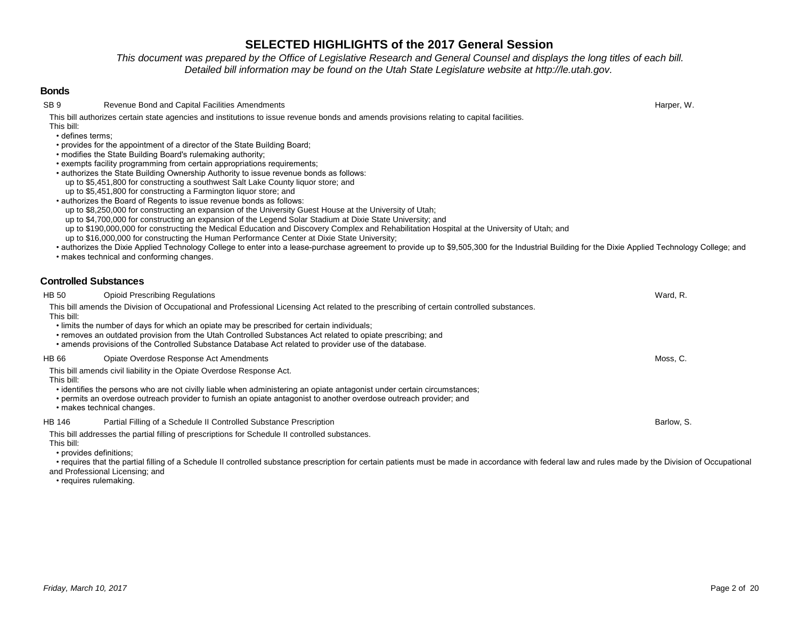*This document was prepared by the Office of Legislative Research and General Counsel and displays the long titles of each bill. Detailed bill information may be found on the Utah State Legislature website at http://le.utah.gov.* 

### **Bonds**

SB 9 Revenue Bond and Capital Facilities Amendments Harper, W.

This bill authorizes certain state agencies and institutions to issue revenue bonds and amends provisions relating to capital facilities. This bill:

• defines terms;

- provides for the appointment of a director of the State Building Board;
- modifies the State Building Board's rulemaking authority;
- exempts facility programming from certain appropriations requirements;
- authorizes the State Building Ownership Authority to issue revenue bonds as follows:
- up to \$5,451,800 for constructing a southwest Salt Lake County liquor store; and
- up to \$5,451,800 for constructing a Farmington liquor store; and
- authorizes the Board of Regents to issue revenue bonds as follows:
- up to \$8,250,000 for constructing an expansion of the University Guest House at the University of Utah;
- up to \$4,700,000 for constructing an expansion of the Legend Solar Stadium at Dixie State University; and
- up to \$190,000,000 for constructing the Medical Education and Discovery Complex and Rehabilitation Hospital at the University of Utah; and
- up to \$16,000,000 for constructing the Human Performance Center at Dixie State University;
- authorizes the Dixie Applied Technology College to enter into a lease-purchase agreement to provide up to \$9,505,300 for the Industrial Building for the Dixie Applied Technology College; and

• makes technical and conforming changes.

## **Controlled Substances**

| HB 50      | <b>Opioid Prescribing Regulations</b>                                                                                                                                                                                                                                                                             | Ward, R.   |
|------------|-------------------------------------------------------------------------------------------------------------------------------------------------------------------------------------------------------------------------------------------------------------------------------------------------------------------|------------|
| This bill: | This bill amends the Division of Occupational and Professional Licensing Act related to the prescribing of certain controlled substances.                                                                                                                                                                         |            |
|            | . limits the number of days for which an opiate may be prescribed for certain individuals:<br>• removes an outdated provision from the Utah Controlled Substances Act related to opiate prescribing; and<br>• amends provisions of the Controlled Substance Database Act related to provider use of the database. |            |
| HB 66      | Opiate Overdose Response Act Amendments                                                                                                                                                                                                                                                                           | Moss, C.   |
| This bill: | This bill amends civil liability in the Opiate Overdose Response Act.                                                                                                                                                                                                                                             |            |
|            | • identifies the persons who are not civilly liable when administering an opiate antagonist under certain circumstances;<br>• permits an overdose outreach provider to furnish an opiate antagonist to another overdose outreach provider; and<br>• makes technical changes.                                      |            |
| HB 146     | Partial Filling of a Schedule II Controlled Substance Prescription                                                                                                                                                                                                                                                | Barlow, S. |
| This bill: | This bill addresses the partial filling of prescriptions for Schedule II controlled substances.                                                                                                                                                                                                                   |            |

• provides definitions;

 • requires that the partial filling of a Schedule II controlled substance prescription for certain patients must be made in accordance with federal law and rules made by the Division of Occupational and Professional Licensing; and

• requires rulemaking.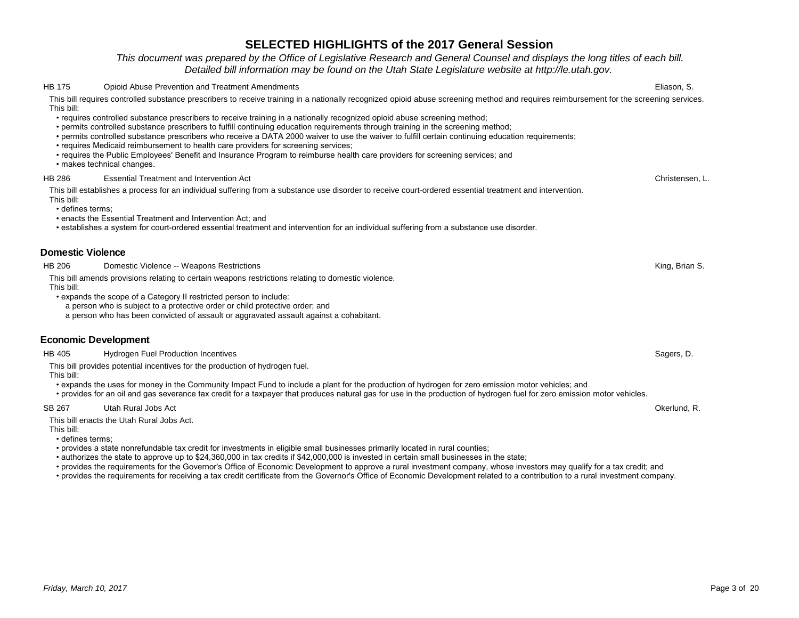*This document was prepared by the Office of Legislative Research and General Counsel and displays the long titles of each bill. Detailed bill information may be found on the Utah State Legislature website at http://le.utah.gov.* 

#### HB 175 Opioid Abuse Prevention and Treatment Amendments Eliason, S.

This bill requires controlled substance prescribers to receive training in a nationally recognized opioid abuse screening method and requires reimbursement for the screening services. This bill:

- requires controlled substance prescribers to receive training in a nationally recognized opioid abuse screening method;
- permits controlled substance prescribers to fulfill continuing education requirements through training in the screening method;
- permits controlled substance prescribers who receive a DATA 2000 waiver to use the waiver to fulfill certain continuing education requirements;
- requires Medicaid reimbursement to health care providers for screening services;
- requires the Public Employees' Benefit and Insurance Program to reimburse health care providers for screening services; and

• makes technical changes.

#### HB 286 Essential Treatment and Intervention Act Christensen, L.

This bill establishes a process for an individual suffering from a substance use disorder to receive court-ordered essential treatment and intervention. This bill:

• defines terms;

- enacts the Essential Treatment and Intervention Act; and
- establishes a system for court-ordered essential treatment and intervention for an individual suffering from a substance use disorder.

### **Domestic Violence**

HB 206 Domestic Violence -- Weapons Restrictions Communications Communications Communications Communications Communications Communications Communications Communications Communications Communications Communications Communic

This bill amends provisions relating to certain weapons restrictions relating to domestic violence. This bill:

• expands the scope of a Category II restricted person to include:

a person who is subject to a protective order or child protective order; and

a person who has been convicted of assault or aggravated assault against a cohabitant.

### **Economic Development**

HB 405 Hydrogen Fuel Production Incentives Sagers, D. Sagers, D. Sagers, D. Sagers, D. Sagers, D. Sagers, D. Sagers, D. Sagers, D. Sagers, D. Sagers, D. Sagers, D. Sagers, D. Sagers, D. Sagers, D. Sagers, D. Sagers, D. Sag

This bill provides potential incentives for the production of hydrogen fuel.

This bill:

- expands the uses for money in the Community Impact Fund to include a plant for the production of hydrogen for zero emission motor vehicles; and
- provides for an oil and gas severance tax credit for a taxpayer that produces natural gas for use in the production of hydrogen fuel for zero emission motor vehicles.

#### SB 267 Utah Rural Jobs Act Okerlund, R.

This bill enacts the Utah Rural Jobs Act.

This bill:

- defines terms;
- provides a state nonrefundable tax credit for investments in eligible small businesses primarily located in rural counties;

• authorizes the state to approve up to \$24,360,000 in tax credits if \$42,000,000 is invested in certain small businesses in the state;

• provides the requirements for the Governor's Office of Economic Development to approve a rural investment company, whose investors may qualify for a tax credit; and

• provides the requirements for receiving a tax credit certificate from the Governor's Office of Economic Development related to a contribution to a rural investment company.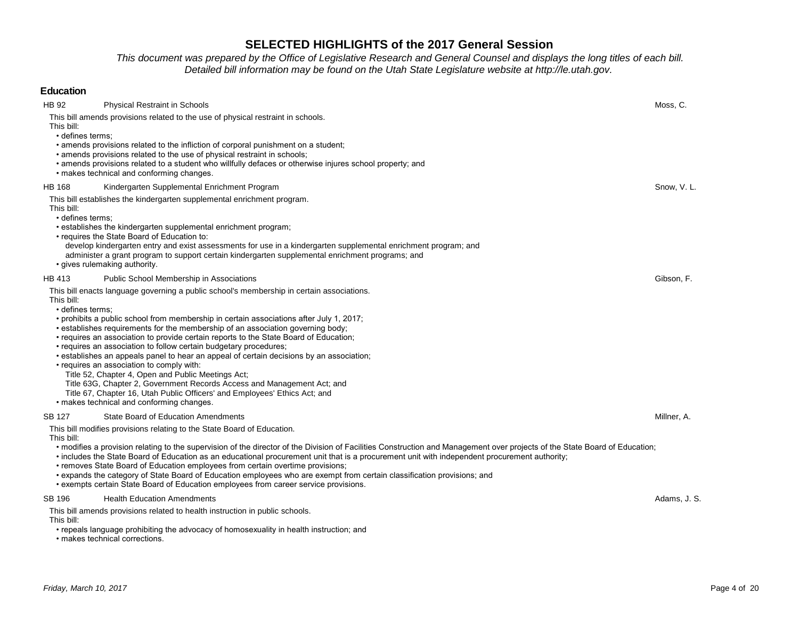*This document was prepared by the Office of Legislative Research and General Counsel and displays the long titles of each bill. Detailed bill information may be found on the Utah State Legislature website at http://le.utah.gov.* 

| <b>Education</b>                                                                                                                                                                                                                                                                                                                                                                                                                                                                                                                                                                                                                                                                                                                                                                                                                                                             |              |
|------------------------------------------------------------------------------------------------------------------------------------------------------------------------------------------------------------------------------------------------------------------------------------------------------------------------------------------------------------------------------------------------------------------------------------------------------------------------------------------------------------------------------------------------------------------------------------------------------------------------------------------------------------------------------------------------------------------------------------------------------------------------------------------------------------------------------------------------------------------------------|--------------|
| <b>HB 92</b><br><b>Physical Restraint in Schools</b><br>This bill amends provisions related to the use of physical restraint in schools.<br>This bill:                                                                                                                                                                                                                                                                                                                                                                                                                                                                                                                                                                                                                                                                                                                       | Moss, C.     |
| · defines terms;<br>• amends provisions related to the infliction of corporal punishment on a student;<br>• amends provisions related to the use of physical restraint in schools;<br>• amends provisions related to a student who willfully defaces or otherwise injures school property; and<br>• makes technical and conforming changes.                                                                                                                                                                                                                                                                                                                                                                                                                                                                                                                                  |              |
| <b>HB 168</b><br>Kindergarten Supplemental Enrichment Program                                                                                                                                                                                                                                                                                                                                                                                                                                                                                                                                                                                                                                                                                                                                                                                                                | Snow, V.L.   |
| This bill establishes the kindergarten supplemental enrichment program.<br>This bill:<br>· defines terms;<br>• establishes the kindergarten supplemental enrichment program;<br>• requires the State Board of Education to:                                                                                                                                                                                                                                                                                                                                                                                                                                                                                                                                                                                                                                                  |              |
| develop kindergarten entry and exist assessments for use in a kindergarten supplemental enrichment program; and<br>administer a grant program to support certain kindergarten supplemental enrichment programs; and<br>• gives rulemaking authority.                                                                                                                                                                                                                                                                                                                                                                                                                                                                                                                                                                                                                         |              |
| <b>HB 413</b><br>Public School Membership in Associations                                                                                                                                                                                                                                                                                                                                                                                                                                                                                                                                                                                                                                                                                                                                                                                                                    | Gibson, F.   |
| This bill enacts language governing a public school's membership in certain associations.<br>This bill:<br>• defines terms:<br>• prohibits a public school from membership in certain associations after July 1, 2017;<br>• establishes requirements for the membership of an association governing body;<br>• requires an association to provide certain reports to the State Board of Education;<br>• requires an association to follow certain budgetary procedures;<br>• establishes an appeals panel to hear an appeal of certain decisions by an association;<br>• requires an association to comply with:<br>Title 52, Chapter 4, Open and Public Meetings Act;<br>Title 63G, Chapter 2, Government Records Access and Management Act; and<br>Title 67, Chapter 16, Utah Public Officers' and Employees' Ethics Act; and<br>· makes technical and conforming changes. |              |
| SB 127<br>State Board of Education Amendments<br>This bill modifies provisions relating to the State Board of Education.<br>This bill:<br>• modifies a provision relating to the supervision of the director of the Division of Facilities Construction and Management over projects of the State Board of Education;<br>• includes the State Board of Education as an educational procurement unit that is a procurement unit with independent procurement authority;<br>• removes State Board of Education employees from certain overtime provisions;<br>• expands the category of State Board of Education employees who are exempt from certain classification provisions; and<br>• exempts certain State Board of Education employees from career service provisions.                                                                                                  | Millner, A.  |
| SB 196<br><b>Health Education Amendments</b><br>This bill amends provisions related to health instruction in public schools.<br>This bill:<br>• repeals language prohibiting the advocacy of homosexuality in health instruction; and                                                                                                                                                                                                                                                                                                                                                                                                                                                                                                                                                                                                                                        | Adams, J. S. |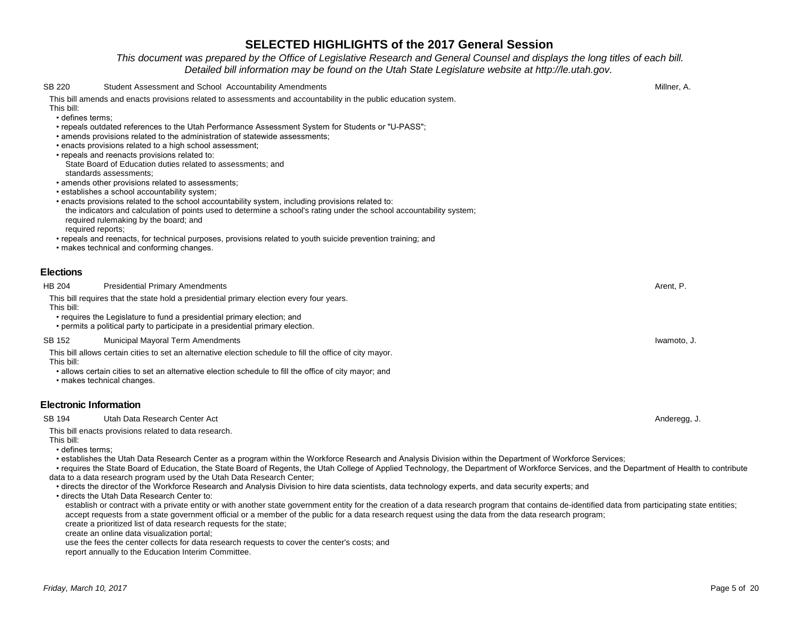## *This document was prepared by the Office of Legislative Research and General Counsel and displays the long titles of each bill. Detailed bill information may be found on the Utah State Legislature website at http://le.utah.gov.*

| <b>SB 220</b>    | Student Assessment and School Accountability Amendments                                                                                                                                                                                                                                                                                                      | Millner, A.  |  |  |  |
|------------------|--------------------------------------------------------------------------------------------------------------------------------------------------------------------------------------------------------------------------------------------------------------------------------------------------------------------------------------------------------------|--------------|--|--|--|
|                  | This bill amends and enacts provisions related to assessments and accountability in the public education system.                                                                                                                                                                                                                                             |              |  |  |  |
| This bill:       |                                                                                                                                                                                                                                                                                                                                                              |              |  |  |  |
|                  | • defines terms:<br>• repeals outdated references to the Utah Performance Assessment System for Students or "U-PASS";                                                                                                                                                                                                                                        |              |  |  |  |
|                  | • amends provisions related to the administration of statewide assessments;                                                                                                                                                                                                                                                                                  |              |  |  |  |
|                  | • enacts provisions related to a high school assessment;                                                                                                                                                                                                                                                                                                     |              |  |  |  |
|                  | • repeals and reenacts provisions related to:                                                                                                                                                                                                                                                                                                                |              |  |  |  |
|                  | State Board of Education duties related to assessments; and<br>standards assessments:                                                                                                                                                                                                                                                                        |              |  |  |  |
|                  | • amends other provisions related to assessments;                                                                                                                                                                                                                                                                                                            |              |  |  |  |
|                  | • establishes a school accountability system;                                                                                                                                                                                                                                                                                                                |              |  |  |  |
|                  | • enacts provisions related to the school accountability system, including provisions related to:<br>the indicators and calculation of points used to determine a school's rating under the school accountability system;                                                                                                                                    |              |  |  |  |
|                  | required rulemaking by the board; and                                                                                                                                                                                                                                                                                                                        |              |  |  |  |
|                  | required reports:                                                                                                                                                                                                                                                                                                                                            |              |  |  |  |
|                  | • repeals and reenacts, for technical purposes, provisions related to youth suicide prevention training; and                                                                                                                                                                                                                                                 |              |  |  |  |
|                  | • makes technical and conforming changes.                                                                                                                                                                                                                                                                                                                    |              |  |  |  |
| <b>Elections</b> |                                                                                                                                                                                                                                                                                                                                                              |              |  |  |  |
| <b>HB 204</b>    | <b>Presidential Primary Amendments</b>                                                                                                                                                                                                                                                                                                                       | Arent, P.    |  |  |  |
|                  | This bill requires that the state hold a presidential primary election every four years.                                                                                                                                                                                                                                                                     |              |  |  |  |
| This bill:       |                                                                                                                                                                                                                                                                                                                                                              |              |  |  |  |
|                  | • requires the Legislature to fund a presidential primary election; and<br>• permits a political party to participate in a presidential primary election.                                                                                                                                                                                                    |              |  |  |  |
|                  |                                                                                                                                                                                                                                                                                                                                                              |              |  |  |  |
| SB 152           | <b>Municipal Mayoral Term Amendments</b>                                                                                                                                                                                                                                                                                                                     | Iwamoto, J.  |  |  |  |
| This bill:       | This bill allows certain cities to set an alternative election schedule to fill the office of city mayor.                                                                                                                                                                                                                                                    |              |  |  |  |
|                  | • allows certain cities to set an alternative election schedule to fill the office of city mayor; and                                                                                                                                                                                                                                                        |              |  |  |  |
|                  | · makes technical changes.                                                                                                                                                                                                                                                                                                                                   |              |  |  |  |
|                  | <b>Electronic Information</b>                                                                                                                                                                                                                                                                                                                                |              |  |  |  |
| SB 194           | Utah Data Research Center Act                                                                                                                                                                                                                                                                                                                                | Anderegg, J. |  |  |  |
|                  | This bill enacts provisions related to data research.                                                                                                                                                                                                                                                                                                        |              |  |  |  |
| This bill:       |                                                                                                                                                                                                                                                                                                                                                              |              |  |  |  |
|                  | · defines terms;                                                                                                                                                                                                                                                                                                                                             |              |  |  |  |
|                  | • establishes the Utah Data Research Center as a program within the Workforce Research and Analysis Division within the Department of Workforce Services;<br>• requires the State Board of Education, the State Board of Regents, the Utah College of Applied Technology, the Department of Workforce Services, and the Department of Health to contribute   |              |  |  |  |
|                  | data to a data research program used by the Utah Data Research Center;                                                                                                                                                                                                                                                                                       |              |  |  |  |
|                  | • directs the director of the Workforce Research and Analysis Division to hire data scientists, data technology experts, and data security experts; and                                                                                                                                                                                                      |              |  |  |  |
|                  | • directs the Utah Data Research Center to:                                                                                                                                                                                                                                                                                                                  |              |  |  |  |
|                  | establish or contract with a private entity or with another state government entity for the creation of a data research program that contains de-identified data from participating state entities;<br>accept requests from a state government official or a member of the public for a data research request using the data from the data research program; |              |  |  |  |
|                  | create a prioritized list of data research requests for the state;                                                                                                                                                                                                                                                                                           |              |  |  |  |
|                  | create an online data visualization portal;                                                                                                                                                                                                                                                                                                                  |              |  |  |  |
|                  | use the fees the center collects for data research requests to cover the center's costs; and                                                                                                                                                                                                                                                                 |              |  |  |  |

report annually to the Education Interim Committee.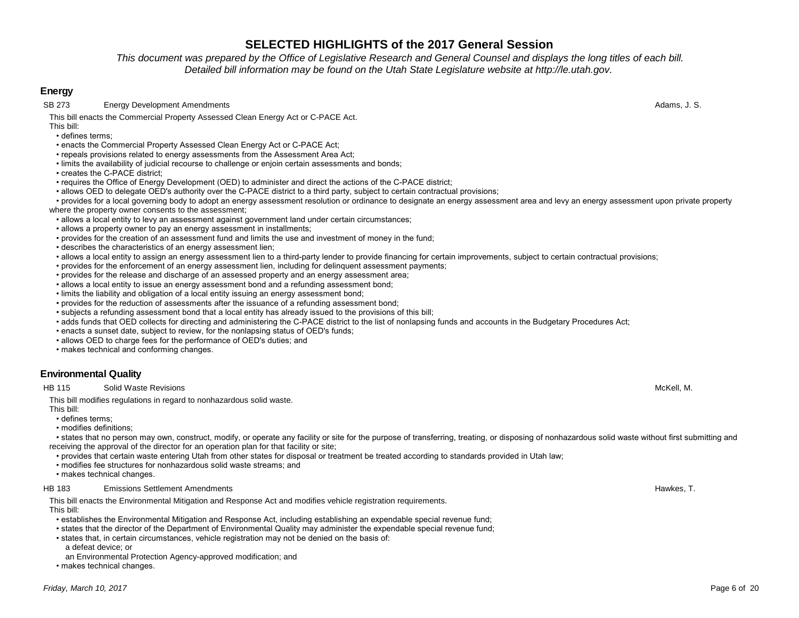*This document was prepared by the Office of Legislative Research and General Counsel and displays the long titles of each bill. Detailed bill information may be found on the Utah State Legislature website at http://le.utah.gov.* 

## **Energy**

SB 273 Energy Development Amendments **Adams, J. S.** Adams, J. S.

This bill enacts the Commercial Property Assessed Clean Energy Act or C-PACE Act. This bill:

• defines terms;

- enacts the Commercial Property Assessed Clean Energy Act or C-PACE Act;
- repeals provisions related to energy assessments from the Assessment Area Act;
- limits the availability of judicial recourse to challenge or enjoin certain assessments and bonds;
- creates the C-PACF district;
- requires the Office of Energy Development (OED) to administer and direct the actions of the C-PACE district;
- allows OED to delegate OED's authority over the C-PACE district to a third party, subject to certain contractual provisions;
- provides for a local governing body to adopt an energy assessment resolution or ordinance to designate an energy assessment area and levy an energy assessment upon private property where the property owner consents to the assessment;
- allows a local entity to levy an assessment against government land under certain circumstances;
- allows a property owner to pay an energy assessment in installments;
- provides for the creation of an assessment fund and limits the use and investment of money in the fund;
- describes the characteristics of an energy assessment lien;
- allows a local entity to assign an energy assessment lien to a third-party lender to provide financing for certain improvements, subject to certain contractual provisions;
- provides for the enforcement of an energy assessment lien, including for delinquent assessment payments;
- provides for the release and discharge of an assessed property and an energy assessment area;
- allows a local entity to issue an energy assessment bond and a refunding assessment bond;
- limits the liability and obligation of a local entity issuing an energy assessment bond;
- provides for the reduction of assessments after the issuance of a refunding assessment bond;
- subjects a refunding assessment bond that a local entity has already issued to the provisions of this bill;
- adds funds that OED collects for directing and administering the C-PACE district to the list of nonlapsing funds and accounts in the Budgetary Procedures Act;
- enacts a sunset date, subject to review, for the nonlapsing status of OED's funds;
- allows OED to charge fees for the performance of OED's duties; and
- makes technical and conforming changes.

## **Environmental Quality**

HB 115 Solid Waste Revisions McKell, M.

This bill modifies regulations in regard to nonhazardous solid waste.

- This bill:
- defines terms;
- modifies definitions;

 • states that no person may own, construct, modify, or operate any facility or site for the purpose of transferring, treating, or disposing of nonhazardous solid waste without first submitting and receiving the approval of the director for an operation plan for that facility or site;

- provides that certain waste entering Utah from other states for disposal or treatment be treated according to standards provided in Utah law;
- modifies fee structures for nonhazardous solid waste streams; and

• makes technical changes.

#### HB 183 Emissions Settlement Amendments Hawkes, T.

This bill enacts the Environmental Mitigation and Response Act and modifies vehicle registration requirements.

This bill:

- establishes the Environmental Mitigation and Response Act, including establishing an expendable special revenue fund;
- states that the director of the Department of Environmental Quality may administer the expendable special revenue fund;
- states that, in certain circumstances, vehicle registration may not be denied on the basis of:
	- a defeat device; or
- an Environmental Protection Agency-approved modification; and
- makes technical changes.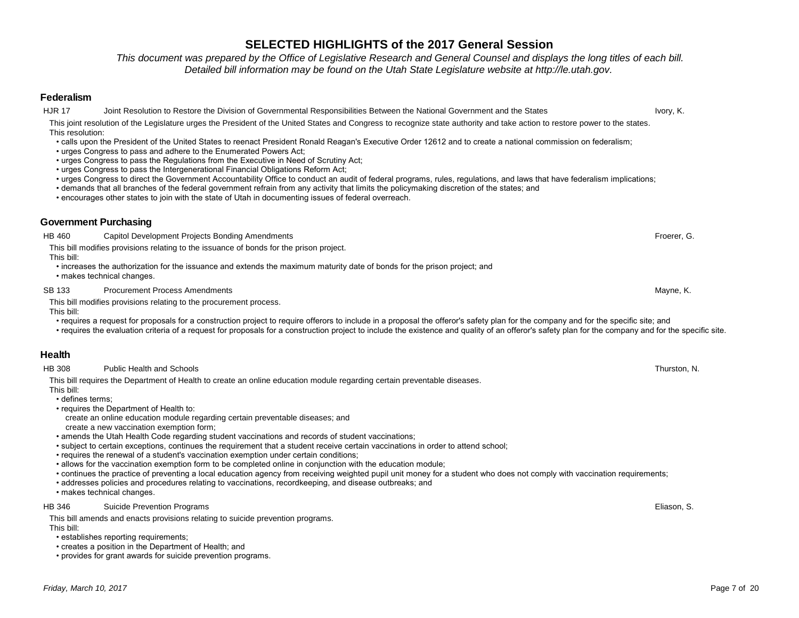*This document was prepared by the Office of Legislative Research and General Counsel and displays the long titles of each bill. Detailed bill information may be found on the Utah State Legislature website at http://le.utah.gov.* 

### **Federalism**

HJR 17 Joint Resolution to Restore the Division of Governmental Responsibilities Between the National Government and the States Ivory, K.

### This joint resolution of the Legislature urges the President of the United States and Congress to recognize state authority and take action to restore power to the states. This resolution:

- calls upon the President of the United States to reenact President Ronald Reagan's Executive Order 12612 and to create a national commission on federalism;
- urges Congress to pass and adhere to the Enumerated Powers Act;
- urges Congress to pass the Regulations from the Executive in Need of Scrutiny Act;
- urges Congress to pass the Intergenerational Financial Obligations Reform Act;
- urges Congress to direct the Government Accountability Office to conduct an audit of federal programs, rules, regulations, and laws that have federalism implications;
- demands that all branches of the federal government refrain from any activity that limits the policymaking discretion of the states; and
- encourages other states to join with the state of Utah in documenting issues of federal overreach.

## **Government Purchasing**

| <b>HB 460</b>                  | Capitol Development Projects Bonding Amendments                                                                                                                                                                                                                                                                                                                                                                                    | Froerer, G.  |
|--------------------------------|------------------------------------------------------------------------------------------------------------------------------------------------------------------------------------------------------------------------------------------------------------------------------------------------------------------------------------------------------------------------------------------------------------------------------------|--------------|
| This bill:                     | This bill modifies provisions relating to the issuance of bonds for the prison project.                                                                                                                                                                                                                                                                                                                                            |              |
|                                | • increases the authorization for the issuance and extends the maximum maturity date of bonds for the prison project; and<br>• makes technical changes.                                                                                                                                                                                                                                                                            |              |
| SB 133                         | <b>Procurement Process Amendments</b>                                                                                                                                                                                                                                                                                                                                                                                              | Mayne, K.    |
| This bill:                     | This bill modifies provisions relating to the procurement process.                                                                                                                                                                                                                                                                                                                                                                 |              |
|                                | • requires a request for proposals for a construction project to require offerors to include in a proposal the offeror's safety plan for the company and for the specific site; and<br>• requires the evaluation criteria of a request for proposals for a construction project to include the existence and quality of an offeror's safety plan for the company and for the specific site.                                        |              |
| Health                         |                                                                                                                                                                                                                                                                                                                                                                                                                                    |              |
| <b>HB 308</b>                  | <b>Public Health and Schools</b>                                                                                                                                                                                                                                                                                                                                                                                                   | Thurston, N. |
| This bill:<br>· defines terms; | This bill requires the Department of Health to create an online education module regarding certain preventable diseases.                                                                                                                                                                                                                                                                                                           |              |
|                                | • requires the Department of Health to:<br>create an online education module regarding certain preventable diseases; and                                                                                                                                                                                                                                                                                                           |              |
|                                | create a new vaccination exemption form;                                                                                                                                                                                                                                                                                                                                                                                           |              |
|                                | • amends the Utah Health Code regarding student vaccinations and records of student vaccinations;<br>• subject to certain exceptions, continues the requirement that a student receive certain vaccinations in order to attend school;                                                                                                                                                                                             |              |
|                                | • requires the renewal of a student's vaccination exemption under certain conditions;                                                                                                                                                                                                                                                                                                                                              |              |
|                                | • allows for the vaccination exemption form to be completed online in conjunction with the education module;<br>• continues the practice of preventing a local education agency from receiving weighted pupil unit money for a student who does not comply with vaccination requirements;<br>• addresses policies and procedures relating to vaccinations, recordkeeping, and disease outbreaks; and<br>· makes technical changes. |              |
| HB 346                         | <b>Suicide Prevention Programs</b>                                                                                                                                                                                                                                                                                                                                                                                                 | Eliason, S.  |
| This bill:                     | This bill amends and enacts provisions relating to suicide prevention programs.                                                                                                                                                                                                                                                                                                                                                    |              |
|                                | · establishes reporting requirements;                                                                                                                                                                                                                                                                                                                                                                                              |              |
|                                | • creates a position in the Department of Health; and                                                                                                                                                                                                                                                                                                                                                                              |              |

• provides for grant awards for suicide prevention programs.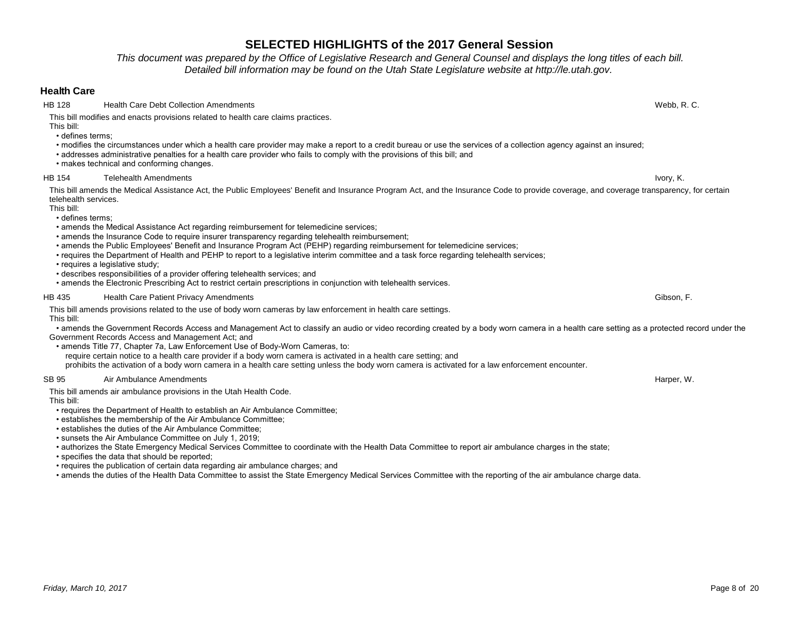*This document was prepared by the Office of Legislative Research and General Counsel and displays the long titles of each bill. Detailed bill information may be found on the Utah State Legislature website at http://le.utah.gov.* 

## **Health Care**

HB 128 Health Care Debt Collection Amendments Webb, R. C.

This bill modifies and enacts provisions related to health care claims practices.

This bill:

• defines terms;

• modifies the circumstances under which a health care provider may make a report to a credit bureau or use the services of a collection agency against an insured;

- addresses administrative penalties for a health care provider who fails to comply with the provisions of this bill; and
- makes technical and conforming changes.

### HB 154 Telehealth Amendments Ivory, K.

This bill amends the Medical Assistance Act, the Public Employees' Benefit and Insurance Program Act, and the Insurance Code to provide coverage, and coverage transparency, for certain telehealth services.

This bill:

• defines terms;

- amends the Medical Assistance Act regarding reimbursement for telemedicine services;
- amends the Insurance Code to require insurer transparency regarding telehealth reimbursement;
- amends the Public Employees' Benefit and Insurance Program Act (PEHP) regarding reimbursement for telemedicine services;
- requires the Department of Health and PEHP to report to a legislative interim committee and a task force regarding telehealth services:

• requires a legislative study;

- describes responsibilities of a provider offering telehealth services; and
- amends the Electronic Prescribing Act to restrict certain prescriptions in conjunction with telehealth services.

### HB 435 Health Care Patient Privacy Amendments Gibson, F.

This bill amends provisions related to the use of body worn cameras by law enforcement in health care settings. This bill:

 • amends the Government Records Access and Management Act to classify an audio or video recording created by a body worn camera in a health care setting as a protected record under the Government Records Access and Management Act; and

• amends Title 77, Chapter 7a, Law Enforcement Use of Body-Worn Cameras, to:

require certain notice to a health care provider if a body worn camera is activated in a health care setting; and

prohibits the activation of a body worn camera in a health care setting unless the body worn camera is activated for a law enforcement encounter.

### SB 95 Air Ambulance Amendments **Harper, W.** And Structure American Structure American American American Harper, W.

This bill amends air ambulance provisions in the Utah Health Code. This bill:

• requires the Department of Health to establish an Air Ambulance Committee;

• establishes the membership of the Air Ambulance Committee;

• establishes the duties of the Air Ambulance Committee;

• sunsets the Air Ambulance Committee on July 1, 2019;

• authorizes the State Emergency Medical Services Committee to coordinate with the Health Data Committee to report air ambulance charges in the state;

• specifies the data that should be reported;

• requires the publication of certain data regarding air ambulance charges; and

• amends the duties of the Health Data Committee to assist the State Emergency Medical Services Committee with the reporting of the air ambulance charge data.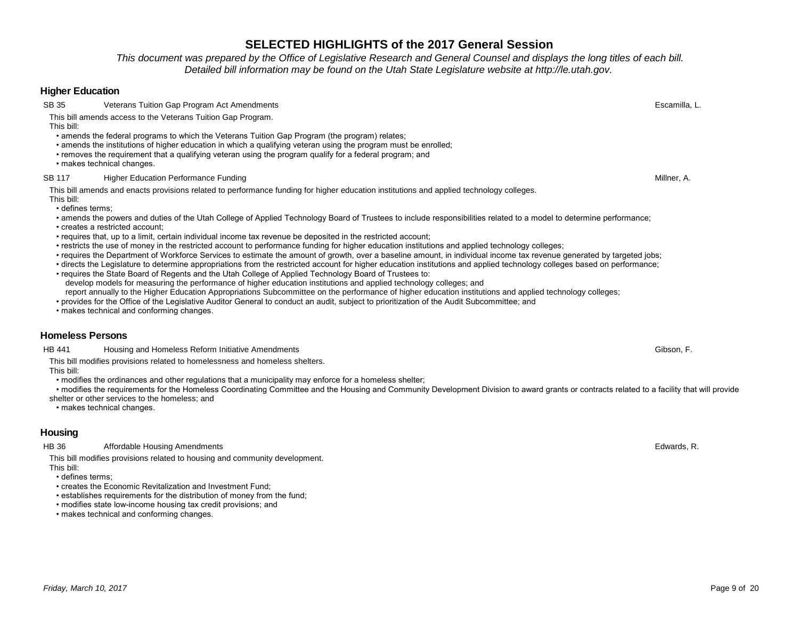*This document was prepared by the Office of Legislative Research and General Counsel and displays the long titles of each bill. Detailed bill information may be found on the Utah State Legislature website at http://le.utah.gov.* 

### **Higher Education**

SB 35 Veterans Tuition Gap Program Act Amendments **Example 2018** Securities and the example of the example of the examilla, L.

This bill amends access to the Veterans Tuition Gap Program.

This bill:

- amends the federal programs to which the Veterans Tuition Gap Program (the program) relates;
- amends the institutions of higher education in which a qualifying veteran using the program must be enrolled;
- removes the requirement that a qualifying veteran using the program qualify for a federal program; and
- makes technical changes.

### SB 117 Higher Education Performance Funding Millner, A.

This bill amends and enacts provisions related to performance funding for higher education institutions and applied technology colleges. This bill:

• defines terms;

• amends the powers and duties of the Utah College of Applied Technology Board of Trustees to include responsibilities related to a model to determine performance;

- creates a restricted account;
- requires that, up to a limit, certain individual income tax revenue be deposited in the restricted account;
- restricts the use of money in the restricted account to performance funding for higher education institutions and applied technology colleges;
- requires the Department of Workforce Services to estimate the amount of growth, over a baseline amount, in individual income tax revenue generated by targeted jobs;
- directs the Legislature to determine appropriations from the restricted account for higher education institutions and applied technology colleges based on performance;
- requires the State Board of Regents and the Utah College of Applied Technology Board of Trustees to: develop models for measuring the performance of higher education institutions and applied technology colleges; and report annually to the Higher Education Appropriations Subcommittee on the performance of higher education institutions and applied technology colleges;
- provides for the Office of the Legislative Auditor General to conduct an audit, subject to prioritization of the Audit Subcommittee; and

• makes technical and conforming changes.

## **Homeless Persons**

HB 441 Housing and Homeless Reform Initiative Amendments Gibson, F.

This bill modifies provisions related to homelessness and homeless shelters.

This bill:

• modifies the ordinances and other regulations that a municipality may enforce for a homeless shelter;

• modifies the requirements for the Homeless Coordinating Committee and the Housing and Community Development Division to award grants or contracts related to a facility that will provide

shelter or other services to the homeless; and

• makes technical changes.

## **Housing**

### HB 36 Affordable Housing Amendments **Edwards, R.** Affordable Housing Amendments **Edwards, R.** Affordable Housing Amendments

This bill modifies provisions related to housing and community development. This bill:

- defines terms;
- creates the Economic Revitalization and Investment Fund;
- establishes requirements for the distribution of money from the fund;
- modifies state low-income housing tax credit provisions; and
- makes technical and conforming changes.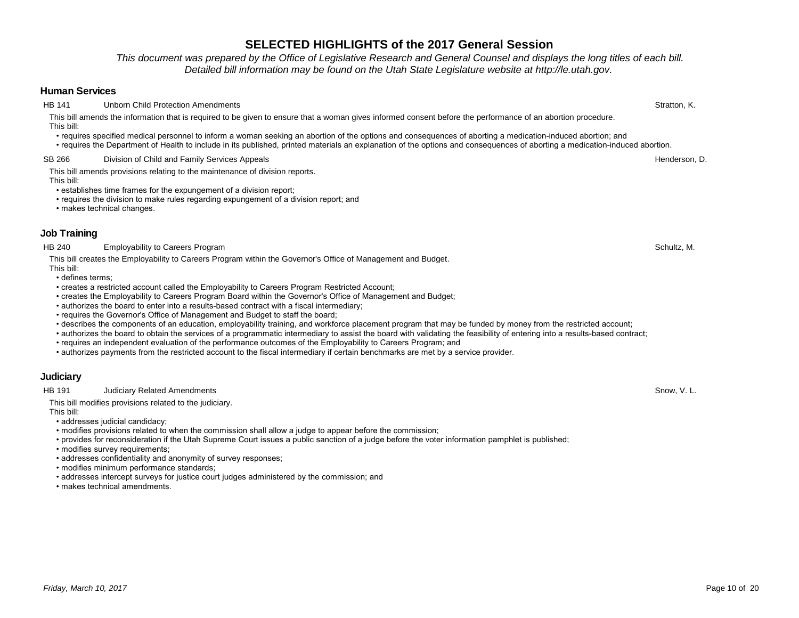# *Friday, March 10, 2017* Page 10 of 20

# **SELECTED HIGHLIGHTS of the 2017 General Session**

*This document was prepared by the Office of Legislative Research and General Counsel and displays the long titles of each bill. Detailed bill information may be found on the Utah State Legislature website at http://le.utah.gov.* 

## **Human Services**

HB 141 Unborn Child Protection Amendments **Stratton, Contained Acts and Stratton, Contained Acts and Stratton, K.** 

This bill amends the information that is required to be given to ensure that a woman gives informed consent before the performance of an abortion procedure. This bill:

- requires specified medical personnel to inform a woman seeking an abortion of the options and consequences of aborting a medication-induced abortion; and
- requires the Department of Health to include in its published, printed materials an explanation of the options and consequences of aborting a medication-induced abortion.

## SB 266 Division of Child and Family Services Appeals **Example 2018** 2019 12:30 Division of Child and Family Services Appeals **Henderson, D.**

This bill amends provisions relating to the maintenance of division reports. This bill:

- establishes time frames for the expungement of a division report;
- requires the division to make rules regarding expungement of a division report; and
- makes technical changes.

## **Job Training**

HB 240 Employability to Careers Program Schultz, M. Schultz, M. Schultz, M. Schultz, M. Schultz, M. Schultz, M.

This bill creates the Employability to Careers Program within the Governor's Office of Management and Budget.

This bill: • defines terms;

- creates a restricted account called the Employability to Careers Program Restricted Account;
- creates the Employability to Careers Program Board within the Governor's Office of Management and Budget;
- authorizes the board to enter into a results-based contract with a fiscal intermediary;
- requires the Governor's Office of Management and Budget to staff the board;
- describes the components of an education, employability training, and workforce placement program that may be funded by money from the restricted account;
- authorizes the board to obtain the services of a programmatic intermediary to assist the board with validating the feasibility of entering into a results-based contract;
- requires an independent evaluation of the performance outcomes of the Employability to Careers Program; and
- authorizes payments from the restricted account to the fiscal intermediary if certain benchmarks are met by a service provider.

# **Judiciary**

HB 191 Judiciary Related Amendments **Snow, V. L.** Snow, V. L.

This bill modifies provisions related to the judiciary.

This bill:

- addresses judicial candidacy;
- modifies provisions related to when the commission shall allow a judge to appear before the commission;
- provides for reconsideration if the Utah Supreme Court issues a public sanction of a judge before the voter information pamphlet is published;

• modifies survey requirements:

- addresses confidentiality and anonymity of survey responses;
- modifies minimum performance standards;
- addresses intercept surveys for justice court judges administered by the commission; and
- makes technical amendments.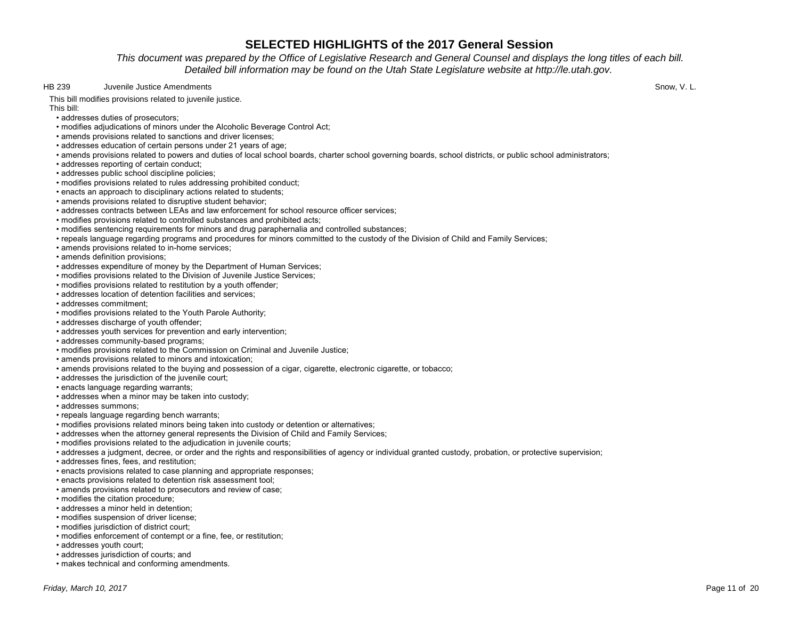*This document was prepared by the Office of Legislative Research and General Counsel and displays the long titles of each bill. Detailed bill information may be found on the Utah State Legislature website at http://le.utah.gov.* 

HB 239 Juvenile Justice Amendments **Snow, V. L.** Snow, V. L.

This bill modifies provisions related to juvenile justice.

This bill:

- addresses duties of prosecutors;
- modifies adjudications of minors under the Alcoholic Beverage Control Act;
- amends provisions related to sanctions and driver licenses;
- addresses education of certain persons under 21 years of age;
- amends provisions related to powers and duties of local school boards, charter school governing boards, school districts, or public school administrators;
- addresses reporting of certain conduct;
- addresses public school discipline policies;
- modifies provisions related to rules addressing prohibited conduct;
- enacts an approach to disciplinary actions related to students;
- amends provisions related to disruptive student behavior;
- addresses contracts between LEAs and law enforcement for school resource officer services;
- modifies provisions related to controlled substances and prohibited acts;
- modifies sentencing requirements for minors and drug paraphernalia and controlled substances;
- repeals language regarding programs and procedures for minors committed to the custody of the Division of Child and Family Services;
- amends provisions related to in-home services;
- amends definition provisions;
- addresses expenditure of money by the Department of Human Services;
- modifies provisions related to the Division of Juvenile Justice Services;
- modifies provisions related to restitution by a youth offender;
- addresses location of detention facilities and services;
- addresses commitment;
- modifies provisions related to the Youth Parole Authority;
- addresses discharge of youth offender;
- addresses youth services for prevention and early intervention;
- addresses community-based programs;
- modifies provisions related to the Commission on Criminal and Juvenile Justice;
- amends provisions related to minors and intoxication;
- amends provisions related to the buying and possession of a cigar, cigarette, electronic cigarette, or tobacco;
- addresses the jurisdiction of the juvenile court;
- enacts language regarding warrants;
- addresses when a minor may be taken into custody;
- addresses summons;
- repeals language regarding bench warrants;
- modifies provisions related minors being taken into custody or detention or alternatives;
- addresses when the attorney general represents the Division of Child and Family Services;
- modifies provisions related to the adjudication in juvenile courts;
- addresses a judgment, decree, or order and the rights and responsibilities of agency or individual granted custody, probation, or protective supervision;
- addresses fines, fees, and restitution;
- enacts provisions related to case planning and appropriate responses;
- enacts provisions related to detention risk assessment tool;
- amends provisions related to prosecutors and review of case;
- modifies the citation procedure;
- addresses a minor held in detention;
- modifies suspension of driver license;
- modifies jurisdiction of district court;
- modifies enforcement of contempt or a fine, fee, or restitution;
- addresses youth court;
- addresses jurisdiction of courts; and
- makes technical and conforming amendments.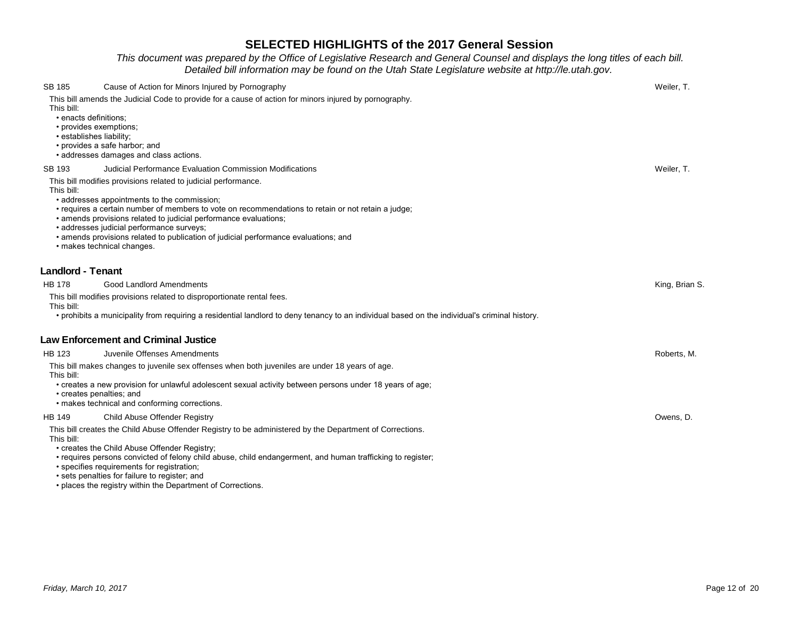## *This document was prepared by the Office of Legislative Research and General Counsel and displays the long titles of each bill. Detailed bill information may be found on the Utah State Legislature website at http://le.utah.gov.*

| SB 185                                                                                    | Cause of Action for Minors Injured by Pornography                                                                                                                                                                                                                                                                                                                                                                                                                         | Weiler, T.     |
|-------------------------------------------------------------------------------------------|---------------------------------------------------------------------------------------------------------------------------------------------------------------------------------------------------------------------------------------------------------------------------------------------------------------------------------------------------------------------------------------------------------------------------------------------------------------------------|----------------|
| This bill:<br>• enacts definitions:<br>• provides exemptions;<br>· establishes liability; | This bill amends the Judicial Code to provide for a cause of action for minors injured by pornography.<br>• provides a safe harbor; and<br>· addresses damages and class actions.                                                                                                                                                                                                                                                                                         |                |
| SB 193                                                                                    | Judicial Performance Evaluation Commission Modifications                                                                                                                                                                                                                                                                                                                                                                                                                  | Weiler, T.     |
| This bill:                                                                                | This bill modifies provisions related to judicial performance.<br>• addresses appointments to the commission;<br>• requires a certain number of members to vote on recommendations to retain or not retain a judge;<br>• amends provisions related to judicial performance evaluations;<br>· addresses judicial performance surveys;<br>· amends provisions related to publication of judicial performance evaluations; and<br>· makes technical changes.                 |                |
| <b>Landlord - Tenant</b>                                                                  |                                                                                                                                                                                                                                                                                                                                                                                                                                                                           |                |
| HB 178                                                                                    | Good Landlord Amendments                                                                                                                                                                                                                                                                                                                                                                                                                                                  | King, Brian S. |
| This bill:                                                                                | This bill modifies provisions related to disproportionate rental fees.<br>• prohibits a municipality from requiring a residential landlord to deny tenancy to an individual based on the individual's criminal history.                                                                                                                                                                                                                                                   |                |
|                                                                                           | <b>Law Enforcement and Criminal Justice</b>                                                                                                                                                                                                                                                                                                                                                                                                                               |                |
| HB 123                                                                                    | Juvenile Offenses Amendments                                                                                                                                                                                                                                                                                                                                                                                                                                              | Roberts, M.    |
| This bill:<br>• creates penalties; and                                                    | This bill makes changes to juvenile sex offenses when both juveniles are under 18 years of age.<br>• creates a new provision for unlawful adolescent sexual activity between persons under 18 years of age;<br>• makes technical and conforming corrections.                                                                                                                                                                                                              |                |
| HB 149                                                                                    | Child Abuse Offender Registry                                                                                                                                                                                                                                                                                                                                                                                                                                             | Owens, D.      |
| This bill:                                                                                | This bill creates the Child Abuse Offender Registry to be administered by the Department of Corrections.<br>• creates the Child Abuse Offender Registry;<br>• requires persons convicted of felony child abuse, child endangerment, and human trafficking to register;<br>· specifies requirements for registration;<br>• sets penalties for failure to register; and<br>$\mathcal{L}$ . The contract of $\mathcal{L}$<br>de la constanta della constitutione della compo |                |

• places the registry within the Department of Corrections.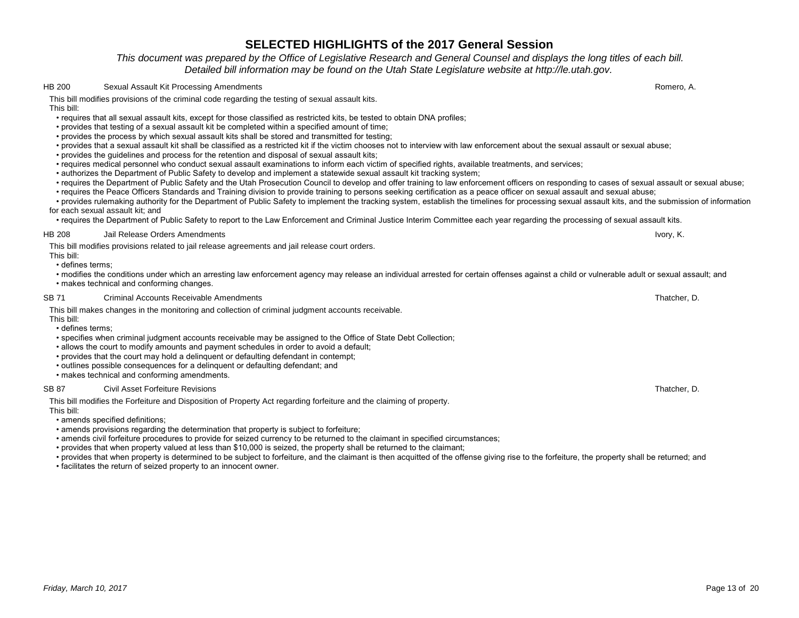## *This document was prepared by the Office of Legislative Research and General Counsel and displays the long titles of each bill. Detailed bill information may be found on the Utah State Legislature website at http://le.utah.gov.*

### HB 200 Sexual Assault Kit Processing Amendments Romero, A.

This bill modifies provisions of the criminal code regarding the testing of sexual assault kits.

This bill:

- requires that all sexual assault kits, except for those classified as restricted kits, be tested to obtain DNA profiles;
- provides that testing of a sexual assault kit be completed within a specified amount of time;
- provides the process by which sexual assault kits shall be stored and transmitted for testing;
- provides that a sexual assault kit shall be classified as a restricted kit if the victim chooses not to interview with law enforcement about the sexual assault or sexual abuse;
- provides the guidelines and process for the retention and disposal of sexual assault kits;
- requires medical personnel who conduct sexual assault examinations to inform each victim of specified rights, available treatments, and services;
- authorizes the Department of Public Safety to develop and implement a statewide sexual assault kit tracking system;
- requires the Department of Public Safety and the Utah Prosecution Council to develop and offer training to law enforcement officers on responding to cases of sexual assault or sexual abuse;
- requires the Peace Officers Standards and Training division to provide training to persons seeking certification as a peace officer on sexual assault and sexual abuse;

 • provides rulemaking authority for the Department of Public Safety to implement the tracking system, establish the timelines for processing sexual assault kits, and the submission of information for each sexual assault kit; and

• requires the Department of Public Safety to report to the Law Enforcement and Criminal Justice Interim Committee each year regarding the processing of sexual assault kits.

### HB 208 Jail Release Orders Amendments **Ivory, K.** Ivory, K.

This bill modifies provisions related to jail release agreements and jail release court orders.

This bill: • defines terms;

 • modifies the conditions under which an arresting law enforcement agency may release an individual arrested for certain offenses against a child or vulnerable adult or sexual assault; and • makes technical and conforming changes.

#### SB 71 Criminal Accounts Receivable Amendments Critics Control of the State of the Criminal Accounts Receivable Amendments Criminal Accounts Receivable Amendments Criminal Accounts Receivable Amendments Criminal Accounts Re

This bill makes changes in the monitoring and collection of criminal judgment accounts receivable.

This bill:

- defines terms;
- specifies when criminal judgment accounts receivable may be assigned to the Office of State Debt Collection;
- allows the court to modify amounts and payment schedules in order to avoid a default;
- provides that the court may hold a delinquent or defaulting defendant in contempt;
- outlines possible consequences for a delinquent or defaulting defendant; and
- makes technical and conforming amendments.

### SB 87 Civil Asset Forfeiture Revisions Thatcher, D.

This bill modifies the Forfeiture and Disposition of Property Act regarding forfeiture and the claiming of property.

This bill:

• amends specified definitions;

• amends provisions regarding the determination that property is subject to forfeiture;

- amends civil forfeiture procedures to provide for seized currency to be returned to the claimant in specified circumstances;
- provides that when property valued at less than \$10,000 is seized, the property shall be returned to the claimant;

• provides that when property is determined to be subject to forfeiture, and the claimant is then acquitted of the offense giving rise to the forfeiture, the property shall be returned; and

• facilitates the return of seized property to an innocent owner.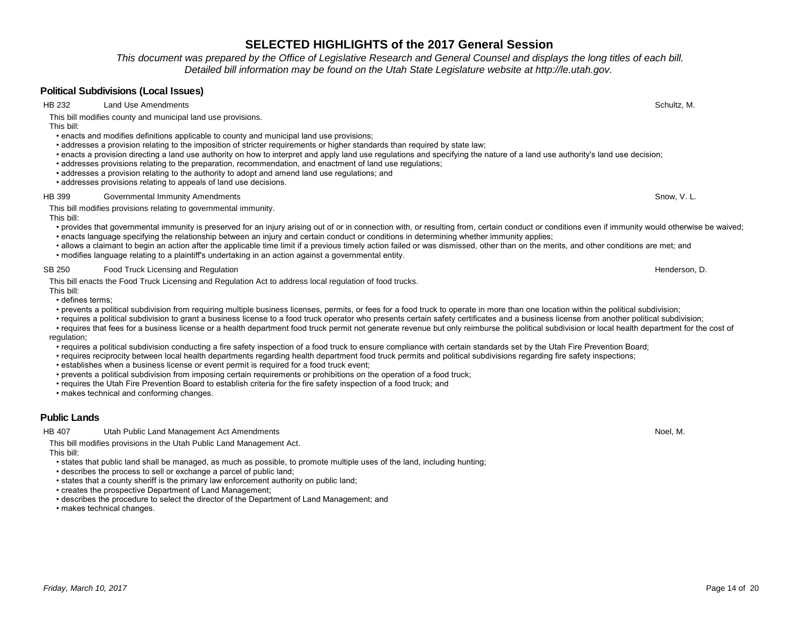*This document was prepared by the Office of Legislative Research and General Counsel and displays the long titles of each bill. Detailed bill information may be found on the Utah State Legislature website at http://le.utah.gov.* 

## **Political Subdivisions (Local Issues)**

HB 232 Land Use Amendments **Schultz, M. Schultz, M. Schultz, M. Schultz, M. Schultz, M. Schultz, M. Schultz, M.** 

This bill modifies county and municipal land use provisions.

This bill:

- enacts and modifies definitions applicable to county and municipal land use provisions;
- addresses a provision relating to the imposition of stricter requirements or higher standards than required by state law;
- enacts a provision directing a land use authority on how to interpret and apply land use regulations and specifying the nature of a land use authority's land use decision;
- addresses provisions relating to the preparation, recommendation, and enactment of land use regulations;
- addresses a provision relating to the authority to adopt and amend land use regulations; and
- addresses provisions relating to appeals of land use decisions.

#### HB 399 Governmental Immunity Amendments Snow, V. L.

This bill modifies provisions relating to governmental immunity.

This bill:

- provides that governmental immunity is preserved for an injury arising out of or in connection with, or resulting from, certain conduct or conditions even if immunity would otherwise be waived; • enacts language specifying the relationship between an injury and certain conduct or conditions in determining whether immunity applies;
- allows a claimant to begin an action after the applicable time limit if a previous timely action failed or was dismissed, other than on the merits, and other conditions are met; and
- modifies language relating to a plaintiff's undertaking in an action against a governmental entity.

### SB 250 Food Truck Licensing and Regulation **For a struck of the Contract Contract Contract Contract Contract Contract Contract Contract Contract Contract Contract Contract Contract Contract Contract Contract Contract Contr**

This bill enacts the Food Truck Licensing and Regulation Act to address local regulation of food trucks.

This bill:

- defines terms;
- prevents a political subdivision from requiring multiple business licenses, permits, or fees for a food truck to operate in more than one location within the political subdivision;
- requires a political subdivision to grant a business license to a food truck operator who presents certain safety certificates and a business license from another political subdivision;
- requires that fees for a business license or a health department food truck permit not generate revenue but only reimburse the political subdivision or local health department for the cost of regulation:
- requires a political subdivision conducting a fire safety inspection of a food truck to ensure compliance with certain standards set by the Utah Fire Prevention Board;
- requires reciprocity between local health departments regarding health department food truck permits and political subdivisions regarding fire safety inspections;
- establishes when a business license or event permit is required for a food truck event;
- prevents a political subdivision from imposing certain requirements or prohibitions on the operation of a food truck;
- requires the Utah Fire Prevention Board to establish criteria for the fire safety inspection of a food truck; and
- makes technical and conforming changes.

## **Public Lands**

HB 407 Utah Public Land Management Act Amendments Noel, N. Noel, N. Noel, N. Noel, N. Noel, N. Noel, N. Noel, N

This bill modifies provisions in the Utah Public Land Management Act. This bill:

• states that public land shall be managed, as much as possible, to promote multiple uses of the land, including hunting;

- describes the process to sell or exchange a parcel of public land;
- states that a county sheriff is the primary law enforcement authority on public land;
- creates the prospective Department of Land Management;
- describes the procedure to select the director of the Department of Land Management; and
- makes technical changes.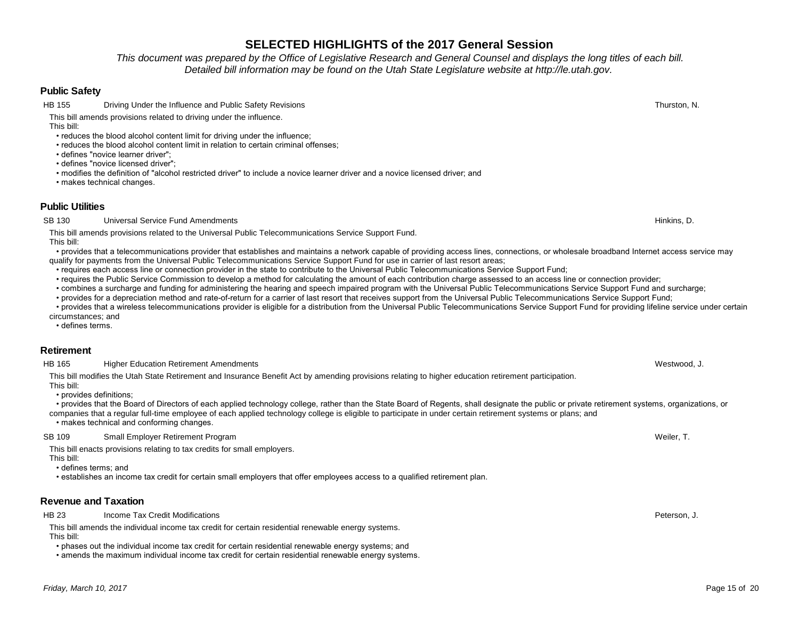*This document was prepared by the Office of Legislative Research and General Counsel and displays the long titles of each bill. Detailed bill information may be found on the Utah State Legislature website at http://le.utah.gov.* 

## **Public Safety**

HB 155 Driving Under the Influence and Public Safety Revisions Thurston, N. Thurston, N.

This bill amends provisions related to driving under the influence.

This bill:

- reduces the blood alcohol content limit for driving under the influence;
- reduces the blood alcohol content limit in relation to certain criminal offenses;
- defines "novice learner driver";

• defines "novice licensed driver";

• modifies the definition of "alcohol restricted driver" to include a novice learner driver and a novice licensed driver; and

• makes technical changes.

## **Public Utilities**

SB 130 Universal Service Fund Amendments **Hinkins, D.** Same Service Fund Amendments Hinkins, D. Same Service Fund Amendments **Hinkins, D.** Same Service Fund Amendments **Hinkins**, D. Same Service Fund Amendments **Hinkins**,

This bill amends provisions related to the Universal Public Telecommunications Service Support Fund.

This bill:

- provides that a telecommunications provider that establishes and maintains a network capable of providing access lines, connections, or wholesale broadband Internet access service may qualify for payments from the Universal Public Telecommunications Service Support Fund for use in carrier of last resort areas;
- requires each access line or connection provider in the state to contribute to the Universal Public Telecommunications Service Support Fund;
- requires the Public Service Commission to develop a method for calculating the amount of each contribution charge assessed to an access line or connection provider;
- combines a surcharge and funding for administering the hearing and speech impaired program with the Universal Public Telecommunications Service Support Fund and surcharge;
- provides for a depreciation method and rate-of-return for a carrier of last resort that receives support from the Universal Public Telecommunications Service Support Fund;
- provides that a wireless telecommunications provider is eligible for a distribution from the Universal Public Telecommunications Service Support Fund for providing lifeline service under certain circumstances; and

• defines terms.

## **Retirement**

HB 165 Higher Education Retirement Amendments Netwood, J. Netwood, J. Netwood, J. Netwood, J. Netwood, J. Netwood, J. Netwood, D. Netwood, D. Netwood, D. Netwood, D. Netwood, D. Netwood, D. Netwood, D. Netwood, D. Netwood,

This bill modifies the Utah State Retirement and Insurance Benefit Act by amending provisions relating to higher education retirement participation.

This bill: • provides definitions;

 • provides that the Board of Directors of each applied technology college, rather than the State Board of Regents, shall designate the public or private retirement systems, organizations, or companies that a regular full-time employee of each applied technology college is eligible to participate in under certain retirement systems or plans; and

• makes technical and conforming changes.

## SB 109 Small Employer Retirement Program Shane Shane Shane Shane Shane Shane Shane Shane Shane Shane Weiler, T.

This bill enacts provisions relating to tax credits for small employers.

This bill:

• defines terms; and

• establishes an income tax credit for certain small employers that offer employees access to a qualified retirement plan.

# **Revenue and Taxation**

HB 23 Income Tax Credit Modifications **Peterson, J.** And The State of the State of the State of the Peterson, J.

This bill amends the individual income tax credit for certain residential renewable energy systems. This bill:

• phases out the individual income tax credit for certain residential renewable energy systems; and

• amends the maximum individual income tax credit for certain residential renewable energy systems.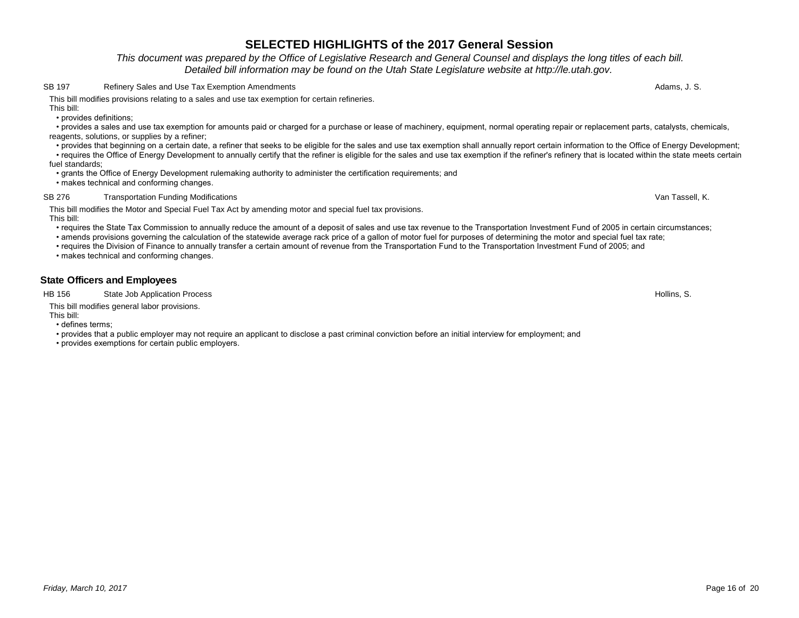# *Friday, March 10, 2017* Page 16 of 20

# **SELECTED HIGHLIGHTS of the 2017 General Session**

*This document was prepared by the Office of Legislative Research and General Counsel and displays the long titles of each bill. Detailed bill information may be found on the Utah State Legislature website at http://le.utah.gov.* 

### SB 197 Refinery Sales and Use Tax Exemption Amendments Adams, J. S. Adams, J. S.

This bill modifies provisions relating to a sales and use tax exemption for certain refineries.

This bill:

• provides definitions;

 • provides a sales and use tax exemption for amounts paid or charged for a purchase or lease of machinery, equipment, normal operating repair or replacement parts, catalysts, chemicals, reagents, solutions, or supplies by a refiner;

 • provides that beginning on a certain date, a refiner that seeks to be eligible for the sales and use tax exemption shall annually report certain information to the Office of Energy Development; • requires the Office of Energy Development to annually certify that the refiner is eligible for the sales and use tax exemption if the refiner's refinery that is located within the state meets certain

fuel standards;

• grants the Office of Energy Development rulemaking authority to administer the certification requirements; and

• makes technical and conforming changes.

### SB 276 Transportation Funding Modifications **Transportation** Funding Modifications Van Tassell, K.

This bill modifies the Motor and Special Fuel Tax Act by amending motor and special fuel tax provisions. This bill:

- requires the State Tax Commission to annually reduce the amount of a deposit of sales and use tax revenue to the Transportation Investment Fund of 2005 in certain circumstances;
- amends provisions governing the calculation of the statewide average rack price of a gallon of motor fuel for purposes of determining the motor and special fuel tax rate;

• requires the Division of Finance to annually transfer a certain amount of revenue from the Transportation Fund to the Transportation Investment Fund of 2005; and

• makes technical and conforming changes.

## **State Officers and Employees**

HB 156 State Job Application Process **Hollins, S.** State Job Application Process **Hollins, S.** State Job Application Process **Hollins**, S.

This bill modifies general labor provisions.

This bill:

• defines terms;

• provides that a public employer may not require an applicant to disclose a past criminal conviction before an initial interview for employment; and

• provides exemptions for certain public employers.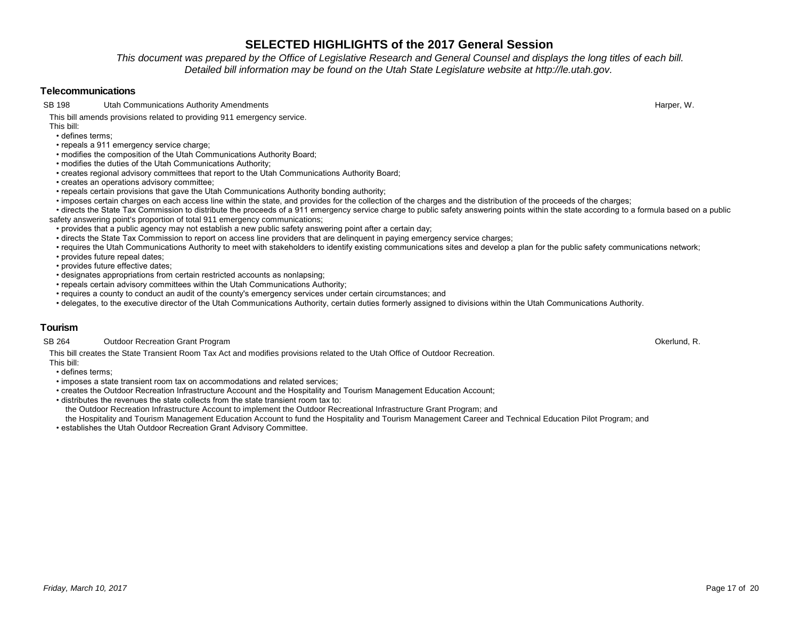*This document was prepared by the Office of Legislative Research and General Counsel and displays the long titles of each bill. Detailed bill information may be found on the Utah State Legislature website at http://le.utah.gov.* 

### **Telecommunications**

SB 198 Utah Communications Authority Amendments **Harper, W. S. Authority American** Harper, W. Harper, W. Harper, W.

This bill amends provisions related to providing 911 emergency service.

This bill:

- defines terms;
- repeals a 911 emergency service charge;
- modifies the composition of the Utah Communications Authority Board;
- modifies the duties of the Utah Communications Authority;
- creates regional advisory committees that report to the Utah Communications Authority Board;
- creates an operations advisory committee;
- repeals certain provisions that gave the Utah Communications Authority bonding authority;
- imposes certain charges on each access line within the state, and provides for the collection of the charges and the distribution of the proceeds of the charges;
- directs the State Tax Commission to distribute the proceeds of a 911 emergency service charge to public safety answering points within the state according to a formula based on a public safety answering point's proportion of total 911 emergency communications;
- provides that a public agency may not establish a new public safety answering point after a certain day;
- directs the State Tax Commission to report on access line providers that are delinquent in paying emergency service charges;
- requires the Utah Communications Authority to meet with stakeholders to identify existing communications sites and develop a plan for the public safety communications network;
- provides future repeal dates;
- provides future effective dates;
- designates appropriations from certain restricted accounts as nonlapsing;
- repeals certain advisory committees within the Utah Communications Authority;
- requires a county to conduct an audit of the county's emergency services under certain circumstances; and
- delegates, to the executive director of the Utah Communications Authority, certain duties formerly assigned to divisions within the Utah Communications Authority.

## **Tourism**

### SB 264 Outdoor Recreation Grant Program **Okerlund, R.** Channel Communication Control Communication Channel Channel Channel Channel Channel Channel Channel Channel Channel Channel Channel Channel Channel Channel Channel Cha

This bill creates the State Transient Room Tax Act and modifies provisions related to the Utah Office of Outdoor Recreation.

This bill:

- defines terms;
- imposes a state transient room tax on accommodations and related services;
- creates the Outdoor Recreation Infrastructure Account and the Hospitality and Tourism Management Education Account;
- distributes the revenues the state collects from the state transient room tax to:

the Outdoor Recreation Infrastructure Account to implement the Outdoor Recreational Infrastructure Grant Program; and

 the Hospitality and Tourism Management Education Account to fund the Hospitality and Tourism Management Career and Technical Education Pilot Program; and • establishes the Utah Outdoor Recreation Grant Advisory Committee.

*Friday, March 10, 2017* Page 17 of 20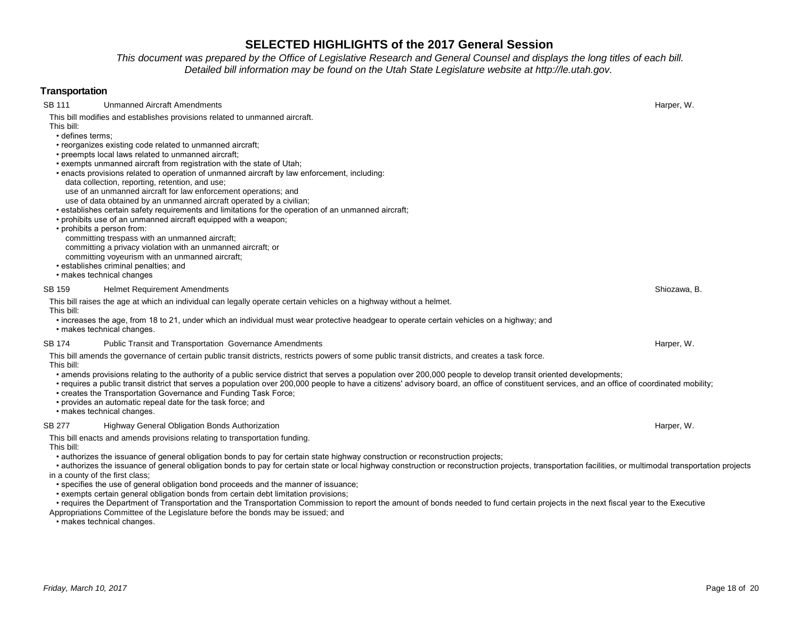*This document was prepared by the Office of Legislative Research and General Counsel and displays the long titles of each bill. Detailed bill information may be found on the Utah State Legislature website at http://le.utah.gov.* 

### **Transportation** SB 111 Unmanned Aircraft Amendments **Harper, W. Strategies and Strategies America** Harper, W. Harper, W. This bill modifies and establishes provisions related to unmanned aircraft. This bill: • defines terms; • reorganizes existing code related to unmanned aircraft; • preempts local laws related to unmanned aircraft; • exempts unmanned aircraft from registration with the state of Utah; • enacts provisions related to operation of unmanned aircraft by law enforcement, including: data collection, reporting, retention, and use; use of an unmanned aircraft for law enforcement operations; and use of data obtained by an unmanned aircraft operated by a civilian; • establishes certain safety requirements and limitations for the operation of an unmanned aircraft; • prohibits use of an unmanned aircraft equipped with a weapon; • prohibits a person from: committing trespass with an unmanned aircraft; committing a privacy violation with an unmanned aircraft; or committing voyeurism with an unmanned aircraft; • establishes criminal penalties; and • makes technical changes SB 159 Helmet Requirement Amendments **Shiozawa, B.** Shiozawa, B. Shiozawa, B. Shiozawa, B. Shiozawa, B. Shiozawa, B. Shiozawa, B. Shiozawa, B. Shiozawa, B. Shiozawa, B. Shiozawa, B. Shiozawa, B. Shiozawa, B. Shiozawa, B. S This bill raises the age at which an individual can legally operate certain vehicles on a highway without a helmet. This bill: • increases the age, from 18 to 21, under which an individual must wear protective headgear to operate certain vehicles on a highway; and • makes technical changes. SB 174 Public Transit and Transportation Governance Amendments **Harper, W. According the Contract Contract Amendments** Harper, W. This bill amends the governance of certain public transit districts, restricts powers of some public transit districts, and creates a task force. This bill: • amends provisions relating to the authority of a public service district that serves a population over 200,000 people to develop transit oriented developments; • requires a public transit district that serves a population over 200,000 people to have a citizens' advisory board, an office of constituent services, and an office of coordinated mobility; • creates the Transportation Governance and Funding Task Force; • provides an automatic repeal date for the task force; and • makes technical changes. SB 277 Highway General Obligation Bonds Authorization Harper, W. Shanghai Harper, W. Harper, W. Harper, W. Harper, W. This bill enacts and amends provisions relating to transportation funding. This bill: • authorizes the issuance of general obligation bonds to pay for certain state highway construction or reconstruction projects; • authorizes the issuance of general obligation bonds to pay for certain state or local highway construction or reconstruction projects, transportation facilities, or multimodal transportation projects in a county of the first class; • specifies the use of general obligation bond proceeds and the manner of issuance; • exempts certain general obligation bonds from certain debt limitation provisions; • requires the Department of Transportation and the Transportation Commission to report the amount of bonds needed to fund certain projects in the next fiscal year to the Executive Appropriations Committee of the Legislature before the bonds may be issued; and • makes technical changes.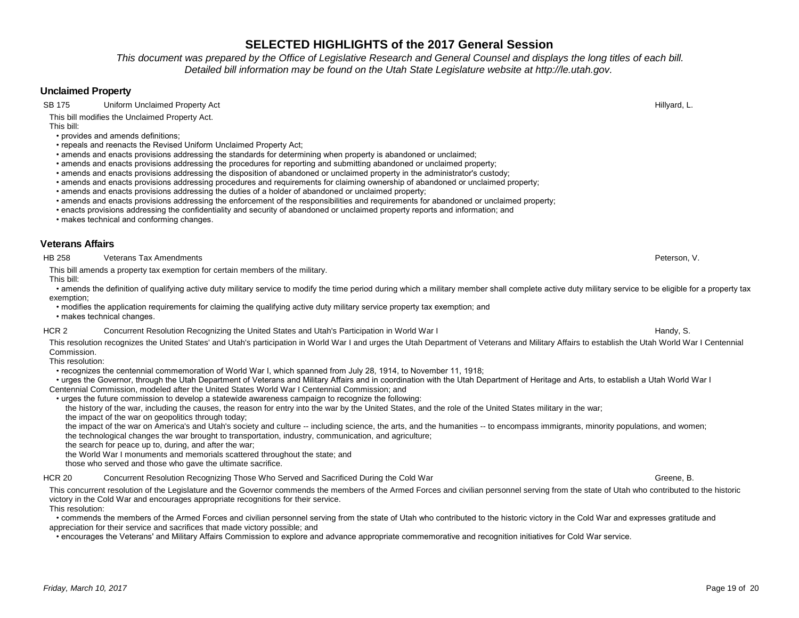*This document was prepared by the Office of Legislative Research and General Counsel and displays the long titles of each bill. Detailed bill information may be found on the Utah State Legislature website at http://le.utah.gov.* 

## **Unclaimed Property**

SB 175 Uniform Unclaimed Property Act **Hillyard, L.** Samuel Act and Security Act Hillyard, L. And Hillyard, L.

This bill modifies the Unclaimed Property Act.

This bill:

- provides and amends definitions;
- repeals and reenacts the Revised Uniform Unclaimed Property Act;
- amends and enacts provisions addressing the standards for determining when property is abandoned or unclaimed;
- amends and enacts provisions addressing the procedures for reporting and submitting abandoned or unclaimed property;
- amends and enacts provisions addressing the disposition of abandoned or unclaimed property in the administrator's custody;
- amends and enacts provisions addressing procedures and requirements for claiming ownership of abandoned or unclaimed property;
- amends and enacts provisions addressing the duties of a holder of abandoned or unclaimed property;
- amends and enacts provisions addressing the enforcement of the responsibilities and requirements for abandoned or unclaimed property;
- enacts provisions addressing the confidentiality and security of abandoned or unclaimed property reports and information; and
- makes technical and conforming changes.

## **Veterans Affairs**

HB 258 Veterans Tax Amendments Peterson, V.

This bill amends a property tax exemption for certain members of the military. This bill:

 • amends the definition of qualifying active duty military service to modify the time period during which a military member shall complete active duty military service to be eligible for a property tax exemption;

 • modifies the application requirements for claiming the qualifying active duty military service property tax exemption; and • makes technical changes.

HCR 2 Concurrent Resolution Recognizing the United States and Utah's Participation in World War I Handy, S. Handy, S.

This resolution recognizes the United States' and Utah's participation in World War I and urges the Utah Department of Veterans and Military Affairs to establish the Utah World War I Centennial Commission.

This resolution:

• recognizes the centennial commemoration of World War I, which spanned from July 28, 1914, to November 11, 1918;

 • urges the Governor, through the Utah Department of Veterans and Military Affairs and in coordination with the Utah Department of Heritage and Arts, to establish a Utah World War I Centennial Commission, modeled after the United States World War I Centennial Commission; and

• urges the future commission to develop a statewide awareness campaign to recognize the following:

the history of the war, including the causes, the reason for entry into the war by the United States, and the role of the United States military in the war;

the impact of the war on geopolitics through today;

 the impact of the war on America's and Utah's society and culture -- including science, the arts, and the humanities -- to encompass immigrants, minority populations, and women; the technological changes the war brought to transportation, industry, communication, and agriculture;

the search for peace up to, during, and after the war;

the World War I monuments and memorials scattered throughout the state; and

those who served and those who gave the ultimate sacrifice.

HCR 20 Concurrent Resolution Recognizing Those Who Served and Sacrificed During the Cold War Greene, G. Greene, B.

This concurrent resolution of the Legislature and the Governor commends the members of the Armed Forces and civilian personnel serving from the state of Utah who contributed to the historic victory in the Cold War and encourages appropriate recognitions for their service.

This resolution:

 • commends the members of the Armed Forces and civilian personnel serving from the state of Utah who contributed to the historic victory in the Cold War and expresses gratitude and appreciation for their service and sacrifices that made victory possible; and

• encourages the Veterans' and Military Affairs Commission to explore and advance appropriate commemorative and recognition initiatives for Cold War service.